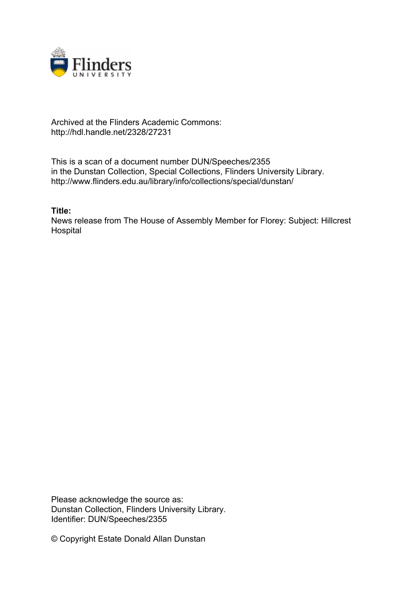

## Archived at the Flinders Academic Commons: http://hdl.handle.net/2328/27231

This is a scan of a document number DUN/Speeches/2355 in the Dunstan Collection, Special Collections, Flinders University Library. http://www.flinders.edu.au/library/info/collections/special/dunstan/

**Title:**

News release from The House of Assembly Member for Florey: Subject: Hillcrest **Hospital** 

Please acknowledge the source as: Dunstan Collection, Flinders University Library. Identifier: DUN/Speeches/2355

© Copyright Estate Donald Allan Dunstan